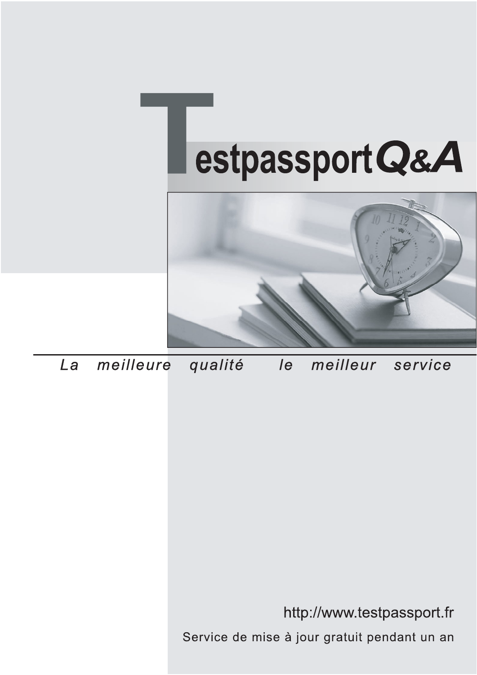



meilleure La qualité  $\overline{e}$ meilleur service

http://www.testpassport.fr

Service de mise à jour gratuit pendant un an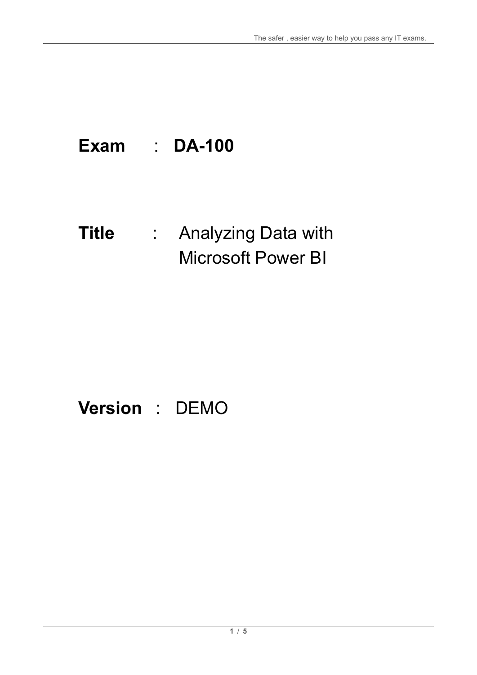# **Exam** : **DA-100**

### **Title** : Analyzing Data with Microsoft Power BI

# **Version** : DEMO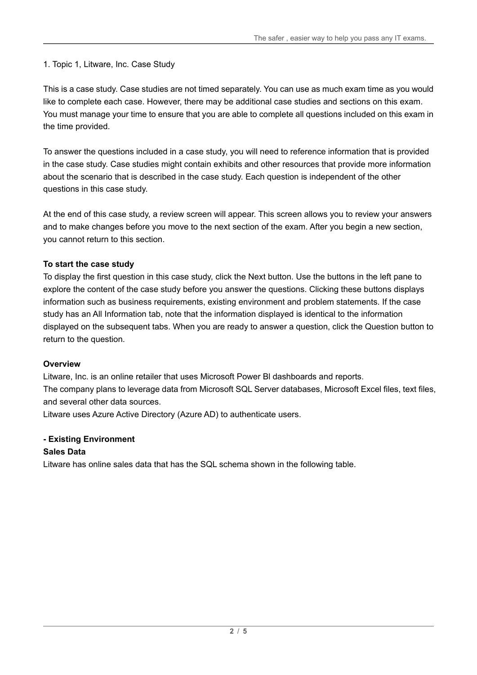1. Topic 1, Litware, Inc. Case Study

This is a case study. Case studies are not timed separately. You can use as much exam time as you would like to complete each case. However, there may be additional case studies and sections on this exam. You must manage your time to ensure that you are able to complete all questions included on this exam in the time provided.

To answer the questions included in a case study, you will need to reference information that is provided in the case study. Case studies might contain exhibits and other resources that provide more information about the scenario that is described in the case study. Each question is independent of the other questions in this case study.

At the end of this case study, a review screen will appear. This screen allows you to review your answers and to make changes before you move to the next section of the exam. After you begin a new section, you cannot return to this section.

#### **To start the case study**

To display the first question in this case study, click the Next button. Use the buttons in the left pane to explore the content of the case study before you answer the questions. Clicking these buttons displays information such as business requirements, existing environment and problem statements. If the case study has an All Information tab, note that the information displayed is identical to the information displayed on the subsequent tabs. When you are ready to answer a question, click the Question button to return to the question.

#### **Overview**

Litware, Inc. is an online retailer that uses Microsoft Power Bl dashboards and reports. The company plans to leverage data from Microsoft SQL Server databases, Microsoft Excel files, text files, and several other data sources.

Litware uses Azure Active Directory (Azure AD) to authenticate users.

#### **- Existing Environment**

#### **Sales Data**

Litware has online sales data that has the SQL schema shown in the following table.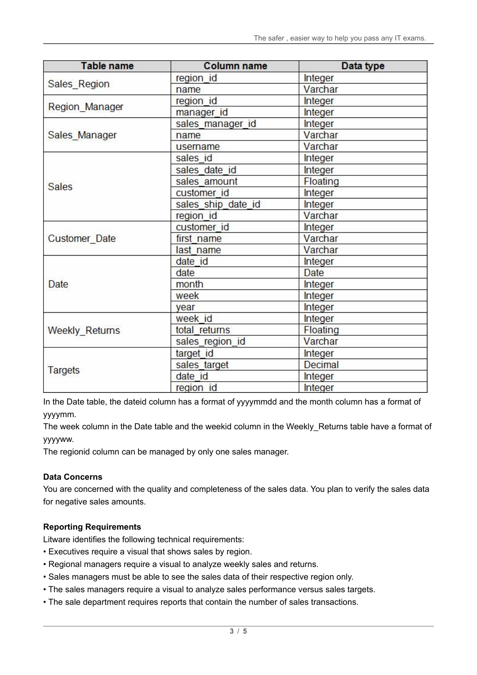| <b>Table name</b>     | <b>Column name</b> | Data type |
|-----------------------|--------------------|-----------|
| Sales Region          | region id          | Integer   |
|                       | name               | Varchar   |
| <b>Region Manager</b> | region id          | Integer   |
|                       | manager id         | Integer   |
| Sales Manager         | sales_manager_id   | Integer   |
|                       | name               | Varchar   |
|                       | usemame            | Varchar   |
| <b>Sales</b>          | sales id           | Integer   |
|                       | sales date id      | Integer   |
|                       | sales amount       | Floating  |
|                       | customer id        | Integer   |
|                       | sales ship date id | Integer   |
|                       | region id          | Varchar   |
| <b>Customer Date</b>  | customer id        | Integer   |
|                       | first name         | Varchar   |
|                       | last name          | Varchar   |
| Date                  | date id            | Integer   |
|                       | date               | Date      |
|                       | month              | Integer   |
|                       | week               | Integer   |
|                       | year               | Integer   |
| Weekly_Returns        | week id            | Integer   |
|                       | total returns      | Floating  |
|                       | sales_region_id    | Varchar   |
| <b>Targets</b>        | target id          | Integer   |
|                       | sales_target       | Decimal   |
|                       | date id            | Integer   |
|                       | region id          | Integer   |

In the Date table, the dateid column has a format of yyyymmdd and the month column has a format of yyyymm.

The week column in the Date table and the weekid column in the Weekly\_Returns table have a format of yyyyww.

The regionid column can be managed by only one sales manager.

#### **Data Concerns**

You are concerned with the quality and completeness of the sales data. You plan to verify the sales data for negative sales amounts.

#### **Reporting Requirements**

Litware identifies the following technical requirements:

- Executives require a visual that shows sales by region.
- Regional managers require a visual to analyze weekly sales and returns.
- Sales managers must be able to see the sales data of their respective region only.
- The sales managers require a visual to analyze sales performance versus sales targets.
- The sale department requires reports that contain the number of sales transactions.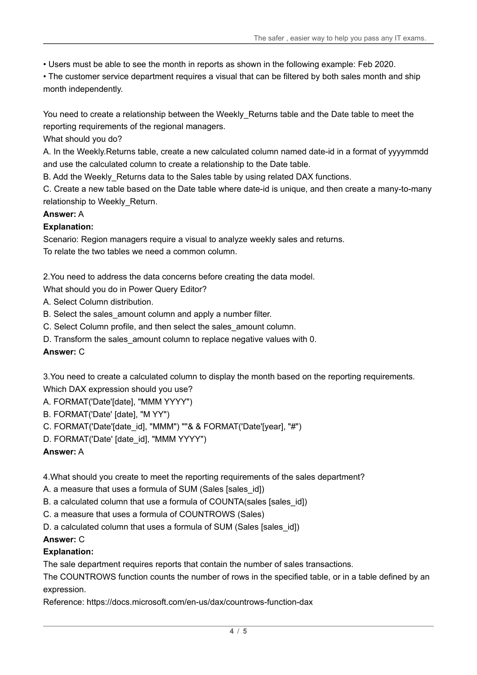• Users must be able to see the month in reports as shown in the following example: Feb 2020.

• The customer service department requires a visual that can be filtered by both sales month and ship month independently.

You need to create a relationship between the Weekly Returns table and the Date table to meet the reporting requirements of the regional managers.

What should you do?

A. In the Weekly.Returns table, create a new calculated column named date-id in a format of yyyymmdd and use the calculated column to create a relationship to the Date table.

B. Add the Weekly Returns data to the Sales table by using related DAX functions.

C. Create a new table based on the Date table where date-id is unique, and then create a many-to-many relationship to Weekly Return.

#### **Answer:** A

#### **Explanation:**

Scenario: Region managers require a visual to analyze weekly sales and returns. To relate the two tables we need a common column.

2.You need to address the data concerns before creating the data model.

What should you do in Power Query Editor?

- A. Select Column distribution.
- B. Select the sales amount column and apply a number filter.
- C. Select Column profile, and then select the sales\_amount column.
- D. Transform the sales amount column to replace negative values with 0.

#### **Answer:** C

3.You need to create a calculated column to display the month based on the reporting requirements.

Which DAX expression should you use?

A. FORMAT('Date'[date], "MMM YYYY")

- B. FORMAT('Date' [date], "M YY")
- C. FORMAT('Date'[date\_id], "MMM") ""& & FORMAT('Date'[year], "#")
- D. FORMAT('Date' [date\_id], "MMM YYYY")

#### **Answer:** A

4.What should you create to meet the reporting requirements of the sales department?

- A. a measure that uses a formula of SUM (Sales [sales id])
- B. a calculated column that use a formula of COUNTA(sales [sales id])
- C. a measure that uses a formula of COUNTROWS (Sales)
- D. a calculated column that uses a formula of SUM (Sales [sales | id])

#### **Answer:** C

#### **Explanation:**

The sale department requires reports that contain the number of sales transactions.

The COUNTROWS function counts the number of rows in the specified table, or in a table defined by an expression.

Reference: https://docs.microsoft.com/en-us/dax/countrows-function-dax